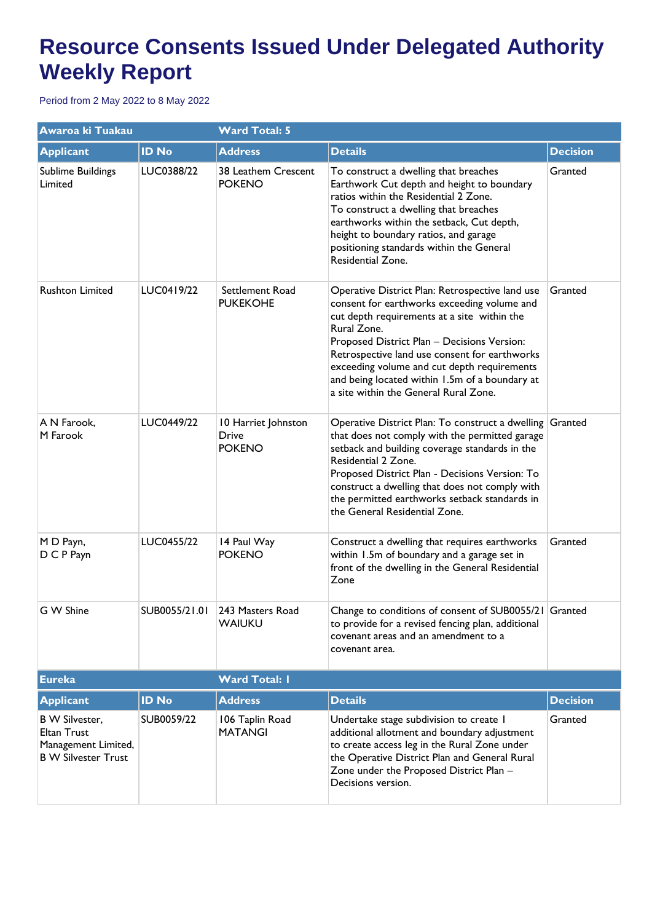| Awaroa ki Tuakau                                                                                 |               | <b>Ward Total: 5</b>                                 |                                                                                                                                                                                                                                                                                                                                                                                                        |                 |  |
|--------------------------------------------------------------------------------------------------|---------------|------------------------------------------------------|--------------------------------------------------------------------------------------------------------------------------------------------------------------------------------------------------------------------------------------------------------------------------------------------------------------------------------------------------------------------------------------------------------|-----------------|--|
| <b>Applicant</b>                                                                                 | <b>ID No</b>  | <b>Address</b>                                       | <b>Details</b>                                                                                                                                                                                                                                                                                                                                                                                         | <b>Decision</b> |  |
| Sublime Buildings<br>Limited                                                                     | LUC0388/22    | 38 Leathem Crescent<br><b>POKENO</b>                 | To construct a dwelling that breaches<br>Earthwork Cut depth and height to boundary<br>ratios within the Residential 2 Zone.<br>To construct a dwelling that breaches<br>earthworks within the setback, Cut depth,<br>height to boundary ratios, and garage<br>positioning standards within the General<br>Residential Zone.                                                                           | Granted         |  |
| <b>Rushton Limited</b>                                                                           | LUC0419/22    | Settlement Road<br><b>PUKEKOHE</b>                   | Operative District Plan: Retrospective land use<br>consent for earthworks exceeding volume and<br>cut depth requirements at a site within the<br>Rural Zone.<br>Proposed District Plan - Decisions Version:<br>Retrospective land use consent for earthworks<br>exceeding volume and cut depth requirements<br>and being located within 1.5m of a boundary at<br>a site within the General Rural Zone. | Granted         |  |
| A N Farook,<br>M Farook                                                                          | LUC0449/22    | 10 Harriet Johnston<br><b>Drive</b><br><b>POKENO</b> | Operative District Plan: To construct a dwelling Granted<br>that does not comply with the permitted garage<br>setback and building coverage standards in the<br>Residential 2 Zone.<br>Proposed District Plan - Decisions Version: To<br>construct a dwelling that does not comply with<br>the permitted earthworks setback standards in<br>the General Residential Zone.                              |                 |  |
| M D Payn,<br>D C P Payn                                                                          | LUC0455/22    | 14 Paul Way<br><b>POKENO</b>                         | Construct a dwelling that requires earthworks<br>within 1.5m of boundary and a garage set in<br>front of the dwelling in the General Residential<br>Zone                                                                                                                                                                                                                                               | Granted         |  |
| G W Shine                                                                                        | SUB0055/21.01 | 243 Masters Road<br><b>WAIUKU</b>                    | Change to conditions of consent of SUB0055/21 Granted<br>to provide for a revised fencing plan, additional<br>covenant areas and an amendment to a<br>covenant area.                                                                                                                                                                                                                                   |                 |  |
| <b>Eureka</b>                                                                                    |               | <b>Ward Total: I</b>                                 |                                                                                                                                                                                                                                                                                                                                                                                                        |                 |  |
| <b>Applicant</b>                                                                                 | <b>ID No</b>  | <b>Address</b>                                       | <b>Details</b>                                                                                                                                                                                                                                                                                                                                                                                         | <b>Decision</b> |  |
| <b>B</b> W Silvester,<br><b>Eltan Trust</b><br>Management Limited,<br><b>B W Silvester Trust</b> | SUB0059/22    | 106 Taplin Road<br><b>MATANGI</b>                    | Undertake stage subdivision to create I<br>additional allotment and boundary adjustment<br>to create access leg in the Rural Zone under<br>the Operative District Plan and General Rural<br>Zone under the Proposed District Plan -<br>Decisions version.                                                                                                                                              | Granted         |  |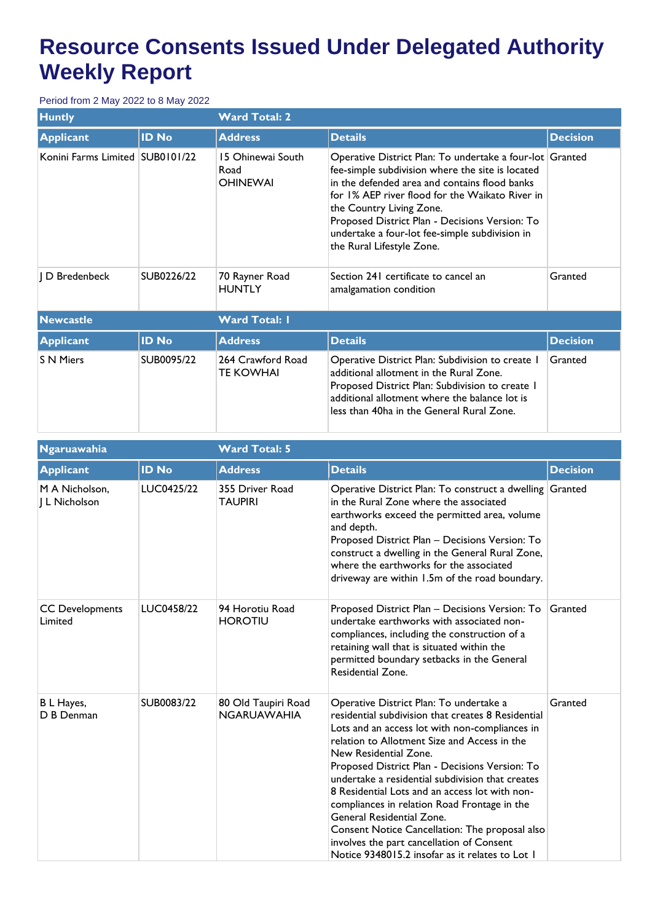| <b>Huntly</b>                   |              | <b>Ward Total: 2</b>                         |                                                                                                                                                                                                                                                                                                                                                                               |                 |  |
|---------------------------------|--------------|----------------------------------------------|-------------------------------------------------------------------------------------------------------------------------------------------------------------------------------------------------------------------------------------------------------------------------------------------------------------------------------------------------------------------------------|-----------------|--|
| <b>Applicant</b>                | <b>ID No</b> | <b>Address</b>                               | <b>Details</b>                                                                                                                                                                                                                                                                                                                                                                | <b>Decision</b> |  |
| Konini Farms Limited SUB0101/22 |              | 15 Ohinewai South<br>Road<br><b>OHINEWAI</b> | Operative District Plan: To undertake a four-lot Granted<br>fee-simple subdivision where the site is located<br>in the defended area and contains flood banks<br>for 1% AEP river flood for the Waikato River in<br>the Country Living Zone.<br>Proposed District Plan - Decisions Version: To<br>undertake a four-lot fee-simple subdivision in<br>the Rural Lifestyle Zone. |                 |  |
| D Bredenbeck                    | SUB0226/22   | 70 Rayner Road<br><b>HUNTLY</b>              | Section 241 certificate to cancel an<br>amalgamation condition                                                                                                                                                                                                                                                                                                                | Granted         |  |
| <b>Newcastle</b>                |              | <b>Ward Total: I</b>                         |                                                                                                                                                                                                                                                                                                                                                                               |                 |  |
| <b>Applicant</b>                | <b>ID No</b> | <b>Address</b>                               | <b>Details</b>                                                                                                                                                                                                                                                                                                                                                                | <b>Decision</b> |  |
| <b>S N Miers</b>                | SUB0095/22   | 264 Crawford Road<br>TE KOWHAI               | Operative District Plan: Subdivision to create I<br>additional allotment in the Rural Zone.<br>Proposed District Plan: Subdivision to create I<br>additional allotment where the balance lot is<br>less than 40ha in the General Rural Zone.                                                                                                                                  | Granted         |  |

| Ngaruawahia                       |              | <b>Ward Total: 5</b>                      |                                                                                                                                                                                                                                                                                                                                                                                                                                                                                                                                                                                                                 |                 |  |
|-----------------------------------|--------------|-------------------------------------------|-----------------------------------------------------------------------------------------------------------------------------------------------------------------------------------------------------------------------------------------------------------------------------------------------------------------------------------------------------------------------------------------------------------------------------------------------------------------------------------------------------------------------------------------------------------------------------------------------------------------|-----------------|--|
| <b>Applicant</b>                  | <b>ID No</b> | <b>Address</b>                            | <b>Details</b>                                                                                                                                                                                                                                                                                                                                                                                                                                                                                                                                                                                                  | <b>Decision</b> |  |
| M A Nicholson,<br>J L Nicholson   | LUC0425/22   | 355 Driver Road<br><b>TAUPIRI</b>         | Operative District Plan: To construct a dwelling Granted<br>in the Rural Zone where the associated<br>earthworks exceed the permitted area, volume<br>and depth.<br>Proposed District Plan - Decisions Version: To<br>construct a dwelling in the General Rural Zone,<br>where the earthworks for the associated<br>driveway are within 1.5m of the road boundary.                                                                                                                                                                                                                                              |                 |  |
| <b>CC Developments</b><br>Limited | LUC0458/22   | 94 Horotiu Road<br><b>HOROTIU</b>         | Proposed District Plan - Decisions Version: To<br>undertake earthworks with associated non-<br>compliances, including the construction of a<br>retaining wall that is situated within the<br>permitted boundary setbacks in the General<br>Residential Zone.                                                                                                                                                                                                                                                                                                                                                    | Granted         |  |
| B L Hayes,<br>D B Denman          | SUB0083/22   | 80 Old Taupiri Road<br><b>NGARUAWAHIA</b> | Operative District Plan: To undertake a<br>residential subdivision that creates 8 Residential<br>Lots and an access lot with non-compliances in<br>relation to Allotment Size and Access in the<br>New Residential Zone.<br>Proposed District Plan - Decisions Version: To<br>undertake a residential subdivision that creates<br>8 Residential Lots and an access lot with non-<br>compliances in relation Road Frontage in the<br>General Residential Zone.<br>Consent Notice Cancellation: The proposal also<br>involves the part cancellation of Consent<br>Notice 9348015.2 insofar as it relates to Lot 1 | Granted         |  |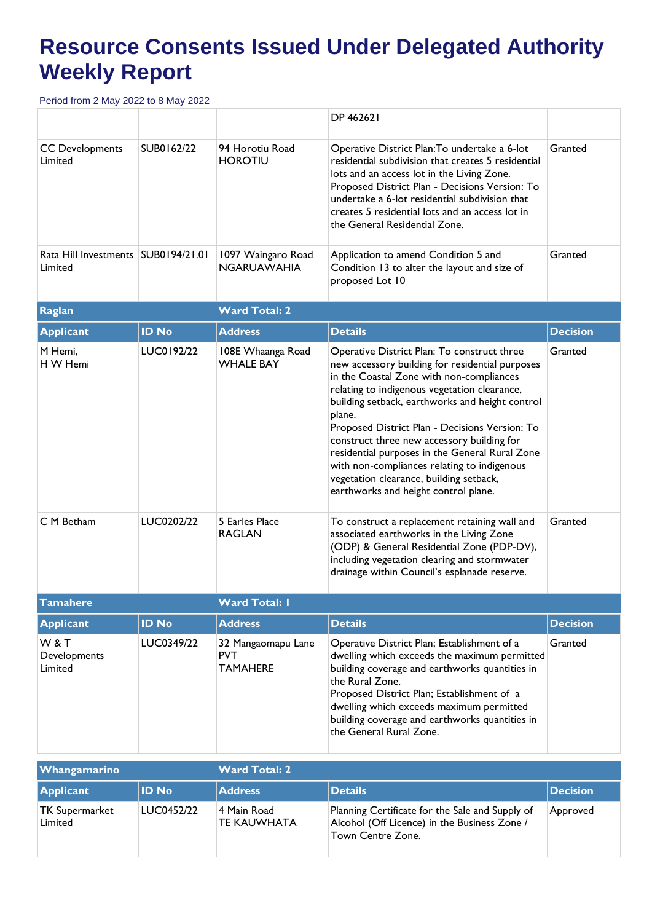|                                                  |              |                                                     | DP 462621                                                                                                                                                                                                                                                                                                                                                                                                                                                                                                                                   |                 |  |
|--------------------------------------------------|--------------|-----------------------------------------------------|---------------------------------------------------------------------------------------------------------------------------------------------------------------------------------------------------------------------------------------------------------------------------------------------------------------------------------------------------------------------------------------------------------------------------------------------------------------------------------------------------------------------------------------------|-----------------|--|
| <b>CC Developments</b><br>Limited                | SUB0162/22   | 94 Horotiu Road<br><b>HOROTIU</b>                   | Operative District Plan: To undertake a 6-lot<br>residential subdivision that creates 5 residential<br>lots and an access lot in the Living Zone.<br>Proposed District Plan - Decisions Version: To<br>undertake a 6-lot residential subdivision that<br>creates 5 residential lots and an access lot in<br>the General Residential Zone.                                                                                                                                                                                                   | Granted         |  |
| Rata Hill Investments   SUB0194/21.01<br>Limited |              | 1097 Waingaro Road<br><b>NGARUAWAHIA</b>            | Application to amend Condition 5 and<br>Condition 13 to alter the layout and size of<br>proposed Lot 10                                                                                                                                                                                                                                                                                                                                                                                                                                     | Granted         |  |
| <b>Raglan</b>                                    |              | <b>Ward Total: 2</b>                                |                                                                                                                                                                                                                                                                                                                                                                                                                                                                                                                                             |                 |  |
| <b>Applicant</b>                                 | <b>ID No</b> | <b>Address</b>                                      | <b>Details</b>                                                                                                                                                                                                                                                                                                                                                                                                                                                                                                                              | <b>Decision</b> |  |
| M Hemi,<br>H W Hemi                              | LUC0192/22   | 108E Whaanga Road<br><b>WHALE BAY</b>               | Operative District Plan: To construct three<br>new accessory building for residential purposes<br>in the Coastal Zone with non-compliances<br>relating to indigenous vegetation clearance,<br>building setback, earthworks and height control<br>plane.<br>Proposed District Plan - Decisions Version: To<br>construct three new accessory building for<br>residential purposes in the General Rural Zone<br>with non-compliances relating to indigenous<br>vegetation clearance, building setback,<br>earthworks and height control plane. | Granted         |  |
| C M Betham                                       | LUC0202/22   | 5 Earles Place<br><b>RAGLAN</b>                     | To construct a replacement retaining wall and<br>associated earthworks in the Living Zone<br>(ODP) & General Residential Zone (PDP-DV),<br>including vegetation clearing and stormwater<br>drainage within Council's esplanade reserve.                                                                                                                                                                                                                                                                                                     | Granted         |  |
| Tamahere                                         |              | Ward Total: I                                       |                                                                                                                                                                                                                                                                                                                                                                                                                                                                                                                                             |                 |  |
| <b>Applicant</b>                                 | <b>ID No</b> | <b>Address</b>                                      | <b>Details</b>                                                                                                                                                                                                                                                                                                                                                                                                                                                                                                                              | <b>Decision</b> |  |
| <b>W&amp;T</b><br>Developments<br>Limited        | LUC0349/22   | 32 Mangaomapu Lane<br><b>PVT</b><br><b>TAMAHERE</b> | Operative District Plan; Establishment of a<br>dwelling which exceeds the maximum permitted<br>building coverage and earthworks quantities in<br>the Rural Zone.<br>Proposed District Plan; Establishment of a<br>dwelling which exceeds maximum permitted<br>building coverage and earthworks quantities in<br>the General Rural Zone.                                                                                                                                                                                                     | Granted         |  |

| <b>Whangamarino</b>       |              | <b>Ward Total: 2</b>              |                                                                                                                      |                 |  |
|---------------------------|--------------|-----------------------------------|----------------------------------------------------------------------------------------------------------------------|-----------------|--|
| <b>Applicant</b>          | <b>ID No</b> | <b>Address</b>                    | <b>Details</b>                                                                                                       | <b>Decision</b> |  |
| TK Supermarket<br>Limited | LUC0452/22   | 4 Main Road<br><b>TE KAUWHATA</b> | Planning Certificate for the Sale and Supply of<br>Alcohol (Off Licence) in the Business Zone /<br>Town Centre Zone. | Approved        |  |